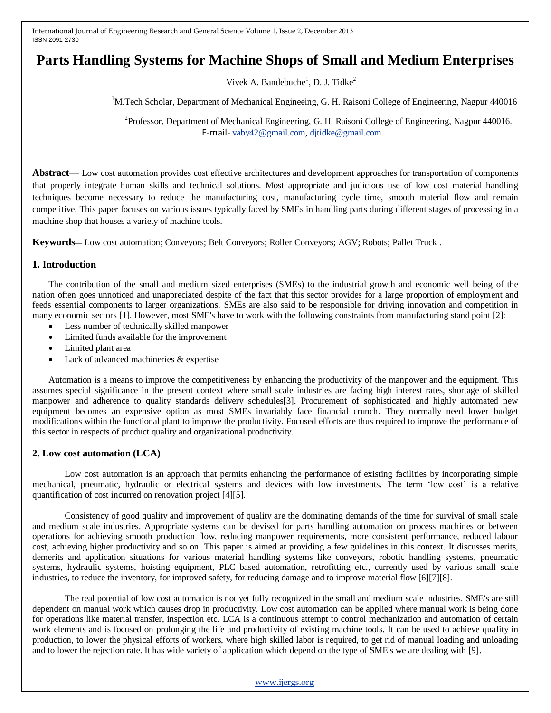# **Parts Handling Systems for Machine Shops of Small and Medium Enterprises**

Vivek A. Bandebuche<sup>1</sup>, D. J. Tidke<sup>2</sup>

<sup>1</sup>M.Tech Scholar, Department of Mechanical Engineeing, G. H. Raisoni College of Engineering, Nagpur 440016

 2 Professor, Department of Mechanical Engineering, G. H. Raisoni College of Engineering, Nagpur 440016. E-mail- [vaby42@gmail.com,](mailto:vaby42@gmail.com) [djtidke@gmail.com](mailto:djtidke@gmail.com)

**Abstract**— Low cost automation provides cost effective architectures and development approaches for transportation of components that properly integrate human skills and technical solutions. Most appropriate and judicious use of low cost material handling techniques become necessary to reduce the manufacturing cost, manufacturing cycle time, smooth material flow and remain competitive. This paper focuses on various issues typically faced by SMEs in handling parts during different stages of processing in a machine shop that houses a variety of machine tools.

**Keywords**— Low cost automation; Conveyors; Belt Conveyors; Roller Conveyors; AGV; Robots; Pallet Truck .

## **1. Introduction**

The contribution of the small and medium sized enterprises (SMEs) to the industrial growth and economic well being of the nation often goes unnoticed and unappreciated despite of the fact that this sector provides for a large proportion of employment and feeds essential components to larger organizations. SMEs are also said to be responsible for driving innovation and competition in many economic sectors [1]. However, most SME's have to work with the following constraints from manufacturing stand point [2]:

- Less number of technically skilled manpower
- Limited funds available for the improvement
- Limited plant area
- Lack of advanced machineries & expertise

Automation is a means to improve the competitiveness by enhancing the productivity of the manpower and the equipment. This assumes special significance in the present context where small scale industries are facing high interest rates, shortage of skilled manpower and adherence to quality standards delivery schedules[3]. Procurement of sophisticated and highly automated new equipment becomes an expensive option as most SMEs invariably face financial crunch. They normally need lower budget modifications within the functional plant to improve the productivity. Focused efforts are thus required to improve the performance of this sector in respects of product quality and organizational productivity.

# **2. Low cost automation (LCA)**

Low cost automation is an approach that permits enhancing the performance of existing facilities by incorporating simple mechanical, pneumatic, hydraulic or electrical systems and devices with low investments. The term "low cost" is a relative quantification of cost incurred on renovation project [4][5].

Consistency of good quality and improvement of quality are the dominating demands of the time for survival of small scale and medium scale industries. Appropriate systems can be devised for parts handling automation on process machines or between operations for achieving smooth production flow, reducing manpower requirements, more consistent performance, reduced labour cost, achieving higher productivity and so on. This paper is aimed at providing a few guidelines in this context. It discusses merits, demerits and application situations for various material handling systems like conveyors, robotic handling systems, pneumatic systems, hydraulic systems, hoisting equipment, PLC based automation, retrofitting etc., currently used by various small scale industries, to reduce the inventory, for improved safety, for reducing damage and to improve material flow [6][7][8].

The real potential of low cost automation is not yet fully recognized in the small and medium scale industries. SME's are still dependent on manual work which causes drop in productivity. Low cost automation can be applied where manual work is being done for operations like material transfer, inspection etc. LCA is a continuous attempt to control mechanization and automation of certain work elements and is focused on prolonging the life and productivity of existing machine tools. It can be used to achieve quality in production, to lower the physical efforts of workers, where high skilled labor is required, to get rid of manual loading and unloading and to lower the rejection rate. It has wide variety of application which depend on the type of SME's we are dealing with [9].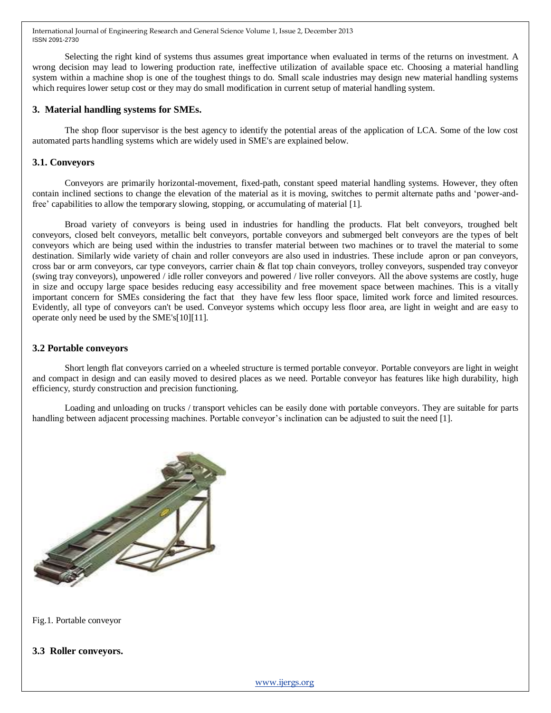Selecting the right kind of systems thus assumes great importance when evaluated in terms of the returns on investment. A wrong decision may lead to lowering production rate, ineffective utilization of available space etc. Choosing a material handling system within a machine shop is one of the toughest things to do. Small scale industries may design new material handling systems which requires lower setup cost or they may do small modification in current setup of material handling system.

#### **3. Material handling systems for SMEs.**

The shop floor supervisor is the best agency to identify the potential areas of the application of LCA. Some of the low cost automated parts handling systems which are widely used in SME's are explained below.

#### **3.1. Conveyors**

Conveyors are primarily horizontal-movement, fixed-path, constant speed material handling systems. However, they often contain inclined sections to change the elevation of the material as it is moving, switches to permit alternate paths and "power-andfree" capabilities to allow the temporary slowing, stopping, or accumulating of material [1].

Broad variety of conveyors is being used in industries for handling the products. Flat belt conveyors, troughed belt conveyors, closed belt conveyors, metallic belt conveyors, portable conveyors and submerged belt conveyors are the types of belt conveyors which are being used within the industries to transfer material between two machines or to travel the material to some destination. Similarly wide variety of chain and roller conveyors are also used in industries. These include apron or pan conveyors, cross bar or arm conveyors, car type conveyors, carrier chain & flat top chain conveyors, trolley conveyors, suspended tray conveyor (swing tray conveyors), unpowered / idle roller conveyors and powered / live roller conveyors. All the above systems are costly, huge in size and occupy large space besides reducing easy accessibility and free movement space between machines. This is a vitally important concern for SMEs considering the fact that they have few less floor space, limited work force and limited resources. Evidently, all type of conveyors can't be used. Conveyor systems which occupy less floor area, are light in weight and are easy to operate only need be used by the SME's[10][11].

#### **3.2 Portable conveyors**

Short length flat conveyors carried on a wheeled structure is termed portable conveyor. Portable conveyors are light in weight and compact in design and can easily moved to desired places as we need. Portable conveyor has features like high durability, high efficiency, sturdy construction and precision functioning.

Loading and unloading on trucks / transport vehicles can be easily done with portable conveyors. They are suitable for parts handling between adjacent processing machines. Portable conveyor's inclination can be adjusted to suit the need [1].



Fig.1. Portable conveyor

#### **3.3 Roller conveyors.**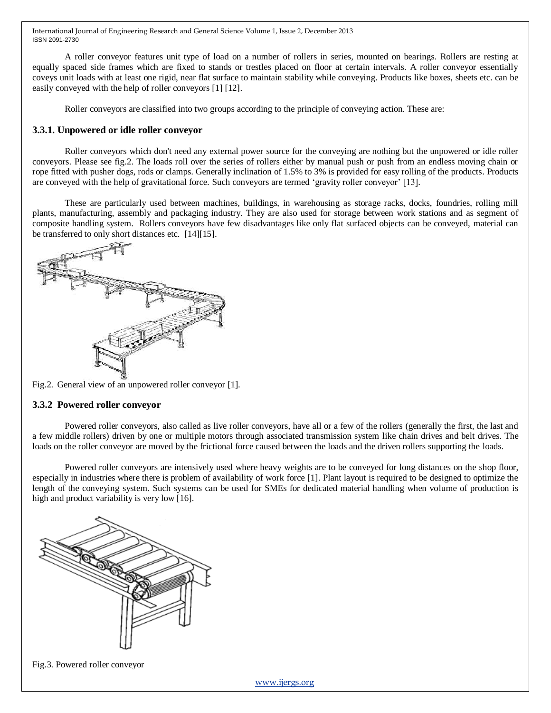A roller conveyor features unit type of load on a number of rollers in series, mounted on bearings. Rollers are resting at equally spaced side frames which are fixed to stands or trestles placed on floor at certain intervals. A roller conveyor essentially coveys unit loads with at least one rigid, near flat surface to maintain stability while conveying. Products like boxes, sheets etc. can be easily conveyed with the help of roller conveyors [1] [12].

Roller conveyors are classified into two groups according to the principle of conveying action. These are:

#### **3.3.1. Unpowered or idle roller conveyor**

Roller conveyors which don't need any external power source for the conveying are nothing but the unpowered or idle roller conveyors. Please see fig.2. The loads roll over the series of rollers either by manual push or push from an endless moving chain or rope fitted with pusher dogs, rods or clamps. Generally inclination of 1.5% to 3% is provided for easy rolling of the products. Products are conveyed with the help of gravitational force. Such conveyors are termed "gravity roller conveyor" [13].

These are particularly used between machines, buildings, in warehousing as storage racks, docks, foundries, rolling mill plants, manufacturing, assembly and packaging industry. They are also used for storage between work stations and as segment of composite handling system. Rollers conveyors have few disadvantages like only flat surfaced objects can be conveyed, material can be transferred to only short distances etc. [14][15].



Fig.2. General view of an unpowered roller conveyor [1].

#### **3.3.2 Powered roller conveyor**

Powered roller conveyors, also called as live roller conveyors, have all or a few of the rollers (generally the first, the last and a few middle rollers) driven by one or multiple motors through associated transmission system like chain drives and belt drives. The loads on the roller conveyor are moved by the frictional force caused between the loads and the driven rollers supporting the loads.

Powered roller conveyors are intensively used where heavy weights are to be conveyed for long distances on the shop floor, especially in industries where there is problem of availability of work force [1]. Plant layout is required to be designed to optimize the length of the conveying system. Such systems can be used for SMEs for dedicated material handling when volume of production is high and product variability is very low [16].



Fig.3. Powered roller conveyor

[www.ijergs.org](http://www.ijergs.org/)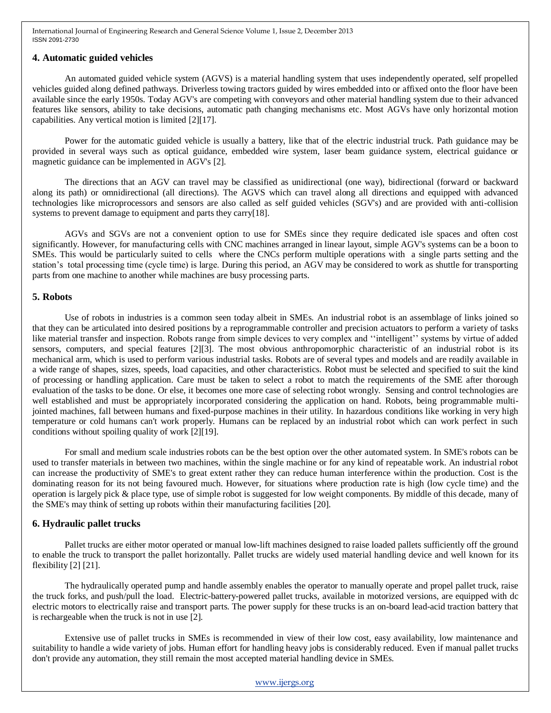#### **4. Automatic guided vehicles**

An automated guided vehicle system (AGVS) is a material handling system that uses independently operated, self propelled vehicles guided along defined pathways. Driverless towing tractors guided by wires embedded into or affixed onto the floor have been available since the early 1950s. Today AGV's are competing with conveyors and other material handling system due to their advanced features like sensors, ability to take decisions, automatic path changing mechanisms etc. Most AGVs have only horizontal motion capabilities. Any vertical motion is limited [2][17].

Power for the automatic guided vehicle is usually a battery, like that of the electric industrial truck. Path guidance may be provided in several ways such as optical guidance, embedded wire system, laser beam guidance system, electrical guidance or magnetic guidance can be implemented in AGV's [2].

The directions that an AGV can travel may be classified as unidirectional (one way), bidirectional (forward or backward along its path) or omnidirectional (all directions). The AGVS which can travel along all directions and equipped with advanced technologies like microprocessors and sensors are also called as self guided vehicles (SGV's) and are provided with anti-collision systems to prevent damage to equipment and parts they carry[18].

AGVs and SGVs are not a convenient option to use for SMEs since they require dedicated isle spaces and often cost significantly. However, for manufacturing cells with CNC machines arranged in linear layout, simple AGV's systems can be a boon to SMEs. This would be particularly suited to cells where the CNCs perform multiple operations with a single parts setting and the station"s total processing time (cycle time) is large. During this period, an AGV may be considered to work as shuttle for transporting parts from one machine to another while machines are busy processing parts.

## **5. Robots**

Use of robots in industries is a common seen today albeit in SMEs. An industrial robot is an assemblage of links joined so that they can be articulated into desired positions by a reprogrammable controller and precision actuators to perform a variety of tasks like material transfer and inspection. Robots range from simple devices to very complex and ""intelligent"" systems by virtue of added sensors, computers, and special features [2][3]. The most obvious anthropomorphic characteristic of an industrial robot is its mechanical arm, which is used to perform various industrial tasks. Robots are of several types and models and are readily available in a wide range of shapes, sizes, speeds, load capacities, and other characteristics. Robot must be selected and specified to suit the kind of processing or handling application. Care must be taken to select a robot to match the requirements of the SME after thorough evaluation of the tasks to be done. Or else, it becomes one more case of selecting robot wrongly. Sensing and control technologies are well established and must be appropriately incorporated considering the application on hand. Robots, being programmable multijointed machines, fall between humans and fixed-purpose machines in their utility. In hazardous conditions like working in very high temperature or cold humans can't work properly. Humans can be replaced by an industrial robot which can work perfect in such conditions without spoiling quality of work [2][19].

For small and medium scale industries robots can be the best option over the other automated system. In SME's robots can be used to transfer materials in between two machines, within the single machine or for any kind of repeatable work. An industrial robot can increase the productivity of SME's to great extent rather they can reduce human interference within the production. Cost is the dominating reason for its not being favoured much. However, for situations where production rate is high (low cycle time) and the operation is largely pick & place type, use of simple robot is suggested for low weight components. By middle of this decade, many of the SME's may think of setting up robots within their manufacturing facilities [20].

#### **6. Hydraulic pallet trucks**

Pallet trucks are either motor operated or manual low-lift machines designed to raise loaded pallets sufficiently off the ground to enable the truck to transport the pallet horizontally. Pallet trucks are widely used material handling device and well known for its flexibility [2] [21].

The hydraulically operated pump and handle assembly enables the operator to manually operate and propel pallet truck, raise the truck forks, and push/pull the load. Electric-battery-powered pallet trucks, available in motorized versions, are equipped with dc electric motors to electrically raise and transport parts. The power supply for these trucks is an on-board lead-acid traction battery that is rechargeable when the truck is not in use [2].

Extensive use of pallet trucks in SMEs is recommended in view of their low cost, easy availability, low maintenance and suitability to handle a wide variety of jobs. Human effort for handling heavy jobs is considerably reduced. Even if manual pallet trucks don't provide any automation, they still remain the most accepted material handling device in SMEs.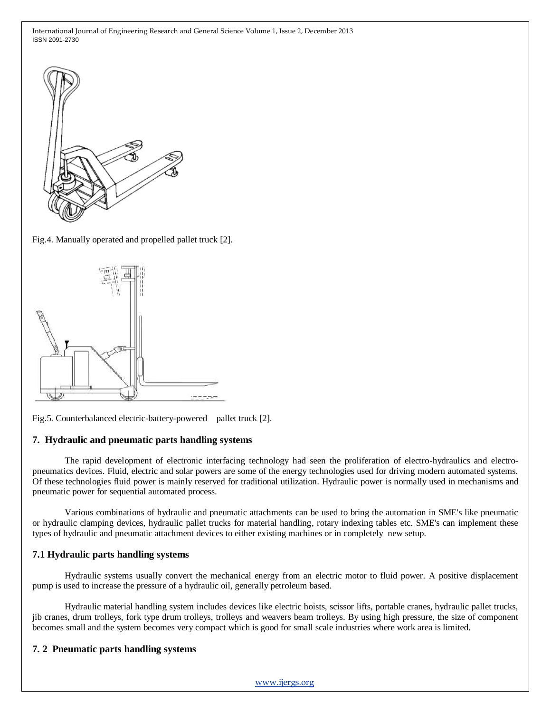

Fig.4. Manually operated and propelled pallet truck [2].



Fig.5. Counterbalanced electric-battery-powered pallet truck [2].

#### **7. Hydraulic and pneumatic parts handling systems**

The rapid development of electronic interfacing technology had seen the proliferation of electro-hydraulics and electropneumatics devices. Fluid, electric and solar powers are some of the energy technologies used for driving modern automated systems. Of these technologies fluid power is mainly reserved for traditional utilization. Hydraulic power is normally used in mechanisms and pneumatic power for sequential automated process.

Various combinations of hydraulic and pneumatic attachments can be used to bring the automation in SME's like pneumatic or hydraulic clamping devices, hydraulic pallet trucks for material handling, rotary indexing tables etc. SME's can implement these types of hydraulic and pneumatic attachment devices to either existing machines or in completely new setup.

#### **7.1 Hydraulic parts handling systems**

Hydraulic systems usually convert the mechanical energy from an electric motor to fluid power. A positive displacement pump is used to increase the pressure of a hydraulic oil, generally petroleum based.

Hydraulic material handling system includes devices like electric hoists, scissor lifts, portable cranes, hydraulic pallet trucks, jib cranes, drum trolleys, fork type drum trolleys, trolleys and weavers beam trolleys. By using high pressure, the size of component becomes small and the system becomes very compact which is good for small scale industries where work area is limited.

# **7. 2 Pneumatic parts handling systems**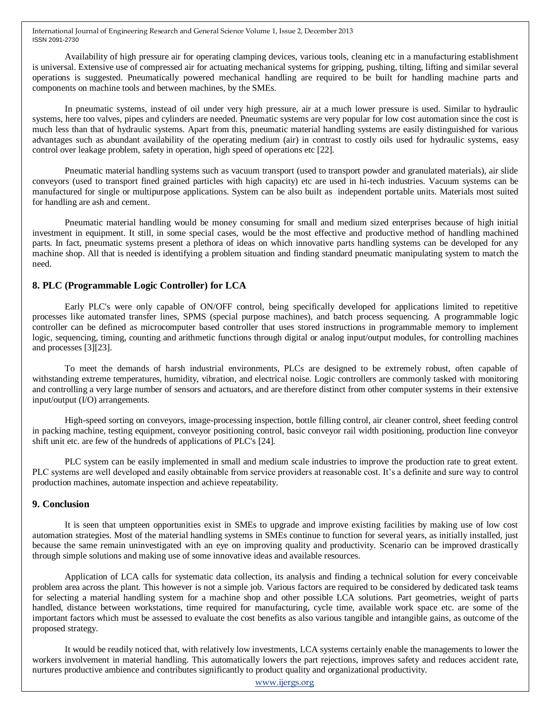Availability of high pressure air for operating clamping devices, various tools, cleaning etc in a manufacturing establishment is universal. Extensive use of compressed air for actuating mechanical systems for gripping, pushing, tilting, lifting and similar several operations is suggested. Pneumatically powered mechanical handling are required to be built for handling machine parts and components on machine tools and between machines, by the SMEs.

In pneumatic systems, instead of oil under very high pressure, air at a much lower pressure is used. Similar to hydraulic systems, here too valves, pipes and cylinders are needed. Pneumatic systems are very popular for low cost automation since the cost is much less than that of hydraulic systems. Apart from this, pneumatic material handling systems are easily distinguished for various advantages such as abundant availability of the operating medium (air) in contrast to costly oils used for hydraulic systems, easy control over leakage problem, safety in operation, high speed of operations etc [22].

Pneumatic material handling systems such as vacuum transport (used to transport powder and granulated materials), air slide conveyors (used to transport fined grained particles with high capacity) etc are used in hi-tech industries. Vacuum systems can be manufactured for single or multipurpose applications. System can be also built as independent portable units. Materials most suited for handling are ash and cement.

Pneumatic material handling would be money consuming for small and medium sized enterprises because of high initial investment in equipment. It still, in some special cases, would be the most effective and productive method of handling machined parts. In fact, pneumatic systems present a plethora of ideas on which innovative parts handling systems can be developed for any machine shop. All that is needed is identifying a problem situation and finding standard pneumatic manipulating system to match the need.

## **8. PLC (Programmable Logic Controller) for LCA**

Early PLC's were only capable of ON/OFF control, being specifically developed for applications limited to repetitive processes like automated transfer lines, SPMS (special purpose machines), and batch process sequencing. A programmable logic controller can be defined as microcomputer based controller that uses stored instructions in programmable memory to implement logic, sequencing, timing, counting and arithmetic functions through digital or analog input/output modules, for controlling machines and processes [3][23].

To meet the demands of harsh industrial environments, PLCs are designed to be extremely robust, often capable of withstanding extreme temperatures, humidity, vibration, and electrical noise. Logic controllers are commonly tasked with monitoring and controlling a very large number of sensors and actuators, and are therefore distinct from other computer systems in their extensive input/output (I/O) arrangements.

High-speed sorting on conveyors, image-processing inspection, bottle filling control, air cleaner control, sheet feeding control in packing machine, testing equipment, conveyor positioning control, basic conveyor rail width positioning, production line conveyor shift unit etc. are few of the hundreds of applications of PLC's [24].

PLC system can be easily implemented in small and medium scale industries to improve the production rate to great extent. PLC systems are well developed and easily obtainable from service providers at reasonable cost. It"s a definite and sure way to control production machines, automate inspection and achieve repeatability.

#### **9. Conclusion**

It is seen that umpteen opportunities exist in SMEs to upgrade and improve existing facilities by making use of low cost automation strategies. Most of the material handling systems in SMEs continue to function for several years, as initially installed, just because the same remain uninvestigated with an eye on improving quality and productivity. Scenario can be improved drastically through simple solutions and making use of some innovative ideas and available resources.

Application of LCA calls for systematic data collection, its analysis and finding a technical solution for every conceivable problem area across the plant. This however is not a simple job. Various factors are required to be considered by dedicated task teams for selecting a material handling system for a machine shop and other possible LCA solutions. Part geometries, weight of parts handled, distance between workstations, time required for manufacturing, cycle time, available work space etc. are some of the important factors which must be assessed to evaluate the cost benefits as also various tangible and intangible gains, as outcome of the proposed strategy.

It would be readily noticed that, with relatively low investments, LCA systems certainly enable the managements to lower the workers involvement in material handling. This automatically lowers the part rejections, improves safety and reduces accident rate, nurtures productive ambience and contributes significantly to product quality and organizational productivity.

[www.ijergs.org](http://www.ijergs.org/)